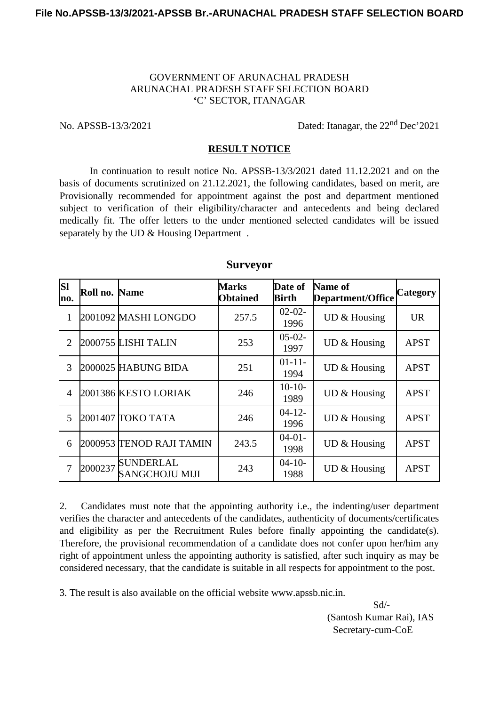## GOVERNMENT OF ARUNACHAL PRADESH ARUNACHAL PRADESH STAFF SELECTION BOARD **'**C' SECTOR, ITANAGAR

No. APSSB-13/3/2021 Dated: Itanagar, the 22<sup>nd</sup> Dec'2021

## **RESULT NOTICE**

In continuation to result notice No. APSSB-13/3/2021 dated 11.12.2021 and on the basis of documents scrutinized on 21.12.2021, the following candidates, based on merit, are Provisionally recommended for appointment against the post and department mentioned subject to verification of their eligibility/character and antecedents and being declared medically fit. The offer letters to the under mentioned selected candidates will be issued separately by the UD & Housing Department.

| lsı<br>mo.     | Roll no. Name |                                           | <b>Marks</b><br><b>Obtained</b> | Date of<br>Birth    | Name of<br>Department/Office | <b>Category</b> |
|----------------|---------------|-------------------------------------------|---------------------------------|---------------------|------------------------------|-----------------|
| 1              |               | 2001092 MASHI LONGDO                      | 257.5                           | $02 - 02 -$<br>1996 | UD & Housing                 | <b>UR</b>       |
| $\overline{2}$ |               | 2000755  LISHI TALIN                      | 253                             | $05-02-$<br>1997    | UD & Housing                 | <b>APST</b>     |
| 3              |               | 2000025 HABUNG BIDA                       | 251                             | $01 - 11 -$<br>1994 | UD & Housing                 | <b>APST</b>     |
| $\overline{4}$ |               | 2001386 KESTO LORIAK                      | 246                             | $10-10-$<br>1989    | UD & Housing                 | <b>APST</b>     |
| 5              |               | 2001407 TOKO TATA                         | 246                             | $04 - 12 -$<br>1996 | <b>UD &amp; Housing</b>      | <b>APST</b>     |
| 6              |               | 2000953  TENOD RAJI TAMIN                 | 243.5                           | $04-01-$<br>1998    | UD & Housing                 | <b>APST</b>     |
| 7              | 2000237       | <b>SUNDERLAL</b><br><b>SANGCHOJU MIJI</b> | 243                             | $04 - 10 -$<br>1988 | UD & Housing                 | <b>APST</b>     |

## **Surveyor**

2. Candidates must note that the appointing authority i.e., the indenting/user department verifies the character and antecedents of the candidates, authenticity of documents/certificates and eligibility as per the Recruitment Rules before finally appointing the candidate(s). Therefore, the provisional recommendation of a candidate does not confer upon her/him any right of appointment unless the appointing authority is satisfied, after such inquiry as may be considered necessary, that the candidate is suitable in all respects for appointment to the post.

3. The result is also available on the official website www.apssb.nic.in.

Sd/- (Santosh Kumar Rai), IAS Secretary-cum-CoE